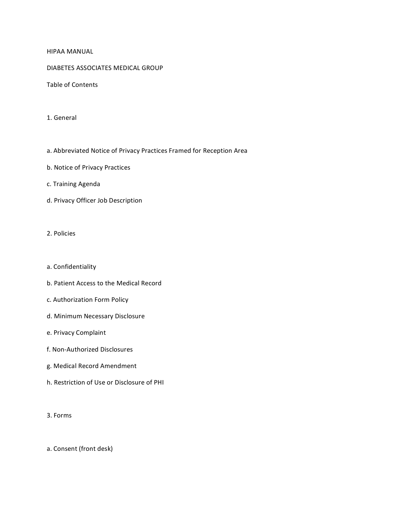## HIPAA MANUAL

# DIABETES ASSOCIATES MEDICAL GROUP

Table of Contents

- 1. General
- a. Abbreviated Notice of Privacy Practices Framed for Reception Area
- b. Notice of Privacy Practices
- c. Training Agenda
- d. Privacy Officer Job Description
- 2. Policies
- a. Confidentiality
- b. Patient Access to the Medical Record
- c. Authorization Form Policy
- d. Minimum Necessary Disclosure
- e. Privacy Complaint
- f. Non-Authorized Disclosures
- g. Medical Record Amendment
- h. Restriction of Use or Disclosure of PHI
- 3. Forms
- a. Consent (front desk)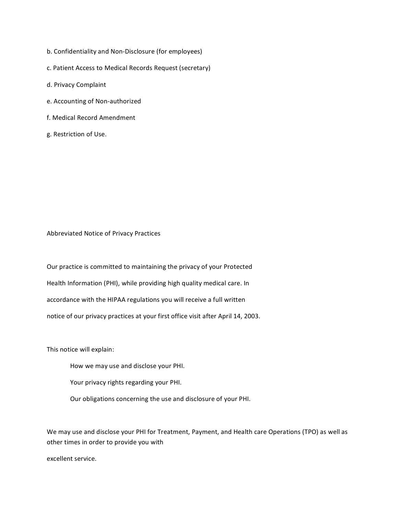- b. Confidentiality and Non-Disclosure (for employees)
- c. Patient Access to Medical Records Request (secretary)
- d. Privacy Complaint
- e. Accounting of Non-authorized
- f. Medical Record Amendment
- g. Restriction of Use.

Abbreviated Notice of Privacy Practices

Our practice is committed to maintaining the privacy of your Protected Health Information (PHI), while providing high quality medical care. In accordance with the HIPAA regulations you will receive a full written notice of our privacy practices at your first office visit after April 14, 2003.

This notice will explain:

- How we may use and disclose your PHI.
- Your privacy rights regarding your PHI.
- Our obligations concerning the use and disclosure of your PHI.

We may use and disclose your PHI for Treatment, Payment, and Health care Operations (TPO) as well as other times in order to provide you with

excellent service.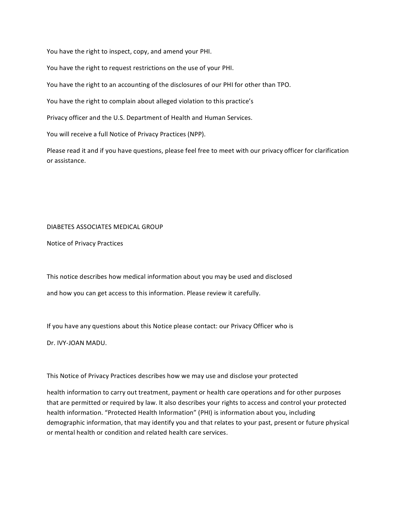You have the right to inspect, copy, and amend your PHI.

You have the right to request restrictions on the use of your PHI.

You have the right to an accounting of the disclosures of our PHI for other than TPO.

You have the right to complain about alleged violation to this practice's

Privacy officer and the U.S. Department of Health and Human Services.

You will receive a full Notice of Privacy Practices (NPP).

Please read it and if you have questions, please feel free to meet with our privacy officer for clarification or assistance.

## DIABETES ASSOCIATES MEDICAL GROUP

Notice of Privacy Practices

This notice describes how medical information about you may be used and disclosed and how you can get access to this information. Please review it carefully.

If you have any questions about this Notice please contact: our Privacy Officer who is

Dr. IVY-JOAN MADU.

This Notice of Privacy Practices describes how we may use and disclose your protected

health information to carry out treatment, payment or health care operations and for other purposes that are permitted or required by law. It also describes your rights to access and control your protected health information. "Protected Health Information" (PHI) is information about you, including demographic information, that may identify you and that relates to your past, present or future physical or mental health or condition and related health care services.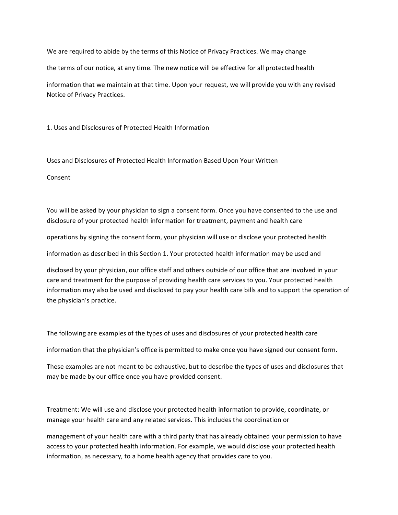We are required to abide by the terms of this Notice of Privacy Practices. We may change the terms of our notice, at any time. The new notice will be effective for all protected health information that we maintain at that time. Upon your request, we will provide you with any revised Notice of Privacy Practices.

1. Uses and Disclosures of Protected Health Information

Uses and Disclosures of Protected Health Information Based Upon Your Written

Consent

You will be asked by your physician to sign a consent form. Once you have consented to the use and disclosure of your protected health information for treatment, payment and health care

operations by signing the consent form, your physician will use or disclose your protected health

information as described in this Section 1. Your protected health information may be used and

disclosed by your physician, our office staff and others outside of our office that are involved in your care and treatment for the purpose of providing health care services to you. Your protected health information may also be used and disclosed to pay your health care bills and to support the operation of the physician's practice.

The following are examples of the types of uses and disclosures of your protected health care

information that the physician's office is permitted to make once you have signed our consent form.

These examples are not meant to be exhaustive, but to describe the types of uses and disclosures that may be made by our office once you have provided consent.

Treatment: We will use and disclose your protected health information to provide, coordinate, or manage your health care and any related services. This includes the coordination or

management of your health care with a third party that has already obtained your permission to have access to your protected health information. For example, we would disclose your protected health information, as necessary, to a home health agency that provides care to you.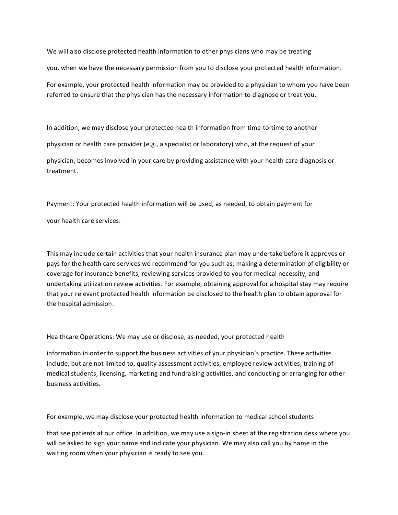We will also disclose protected health information to other physicians who may be treating you, when we have the necessary permission from you to disclose your protected health information. For example, your protected health information may be provided to a physician to whom you have been referred to ensure that the physician has the necessary information to diagnose or treat you.

In addition, we may disclose your protected health information from time-to-time to another physician or health care provider (e.g., a specialist or laboratory) who, at the request of your physician, becomes involved in your care by providing assistance with your health care diagnosis or treatment.

Payment: Your protected health information will be used, as needed, to obtain payment for your health care services.

This may include certain activities that your health insurance plan may undertake before it approves or pays for the health care services we recommend for you such as; making a determination of eligibility or coverage for insurance benefits, reviewing services provided to you for medical necessity, and undertaking utilization review activities. For example, obtaining approval for a hospital stay may require that your relevant protected health information be disclosed to the health plan to obtain approval for the hospital admission.

Healthcare Operations: We may use or disclose, as-needed, your protected health

information in order to support the business activities of your physician's practice. These activities include, but are not limited to, quality assessment activities, employee review activities, training of medical students, licensing, marketing and fundraising activities, and conducting or arranging for other business activities.

For example, we may disclose your protected health information to medical school students

that see patients at our office. In addition, we may use a sign-in sheet at the registration desk where you will be asked to sign your name and indicate your physician. We may also call you by name in the waiting room when your physician is ready to see you.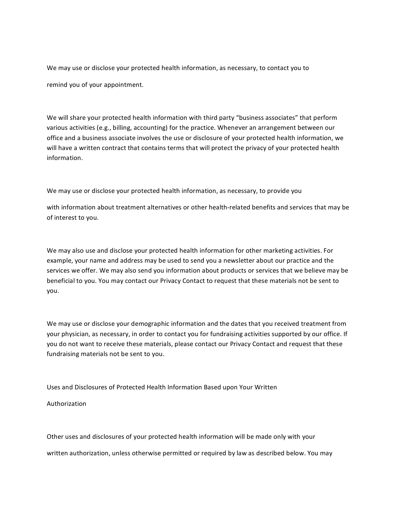We may use or disclose your protected health information, as necessary, to contact you to remind you of your appointment.

We will share your protected health information with third party "business associates" that perform various activities (e.g., billing, accounting) for the practice. Whenever an arrangement between our office and a business associate involves the use or disclosure of your protected health information, we will have a written contract that contains terms that will protect the privacy of your protected health information.

We may use or disclose your protected health information, as necessary, to provide you

with information about treatment alternatives or other health-related benefits and services that may be of interest to you.

We may also use and disclose your protected health information for other marketing activities. For example, your name and address may be used to send you a newsletter about our practice and the services we offer. We may also send you information about products or services that we believe may be beneficial to you. You may contact our Privacy Contact to request that these materials not be sent to you.

We may use or disclose your demographic information and the dates that you received treatment from your physician, as necessary, in order to contact you for fundraising activities supported by our office. If you do not want to receive these materials, please contact our Privacy Contact and request that these fundraising materials not be sent to you.

Uses and Disclosures of Protected Health Information Based upon Your Written

Authorization

Other uses and disclosures of your protected health information will be made only with your written authorization, unless otherwise permitted or required by law as described below. You may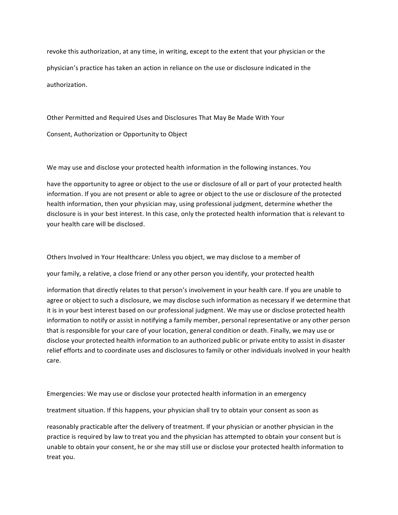revoke this authorization, at any time, in writing, except to the extent that your physician or the physician's practice has taken an action in reliance on the use or disclosure indicated in the authorization.

Other Permitted and Required Uses and Disclosures That May Be Made With Your

Consent, Authorization or Opportunity to Object

We may use and disclose your protected health information in the following instances. You

have the opportunity to agree or object to the use or disclosure of all or part of your protected health information. If you are not present or able to agree or object to the use or disclosure of the protected health information, then your physician may, using professional judgment, determine whether the disclosure is in your best interest. In this case, only the protected health information that is relevant to your health care will be disclosed.

Others Involved in Your Healthcare: Unless you object, we may disclose to a member of

your family, a relative, a close friend or any other person you identify, your protected health

information that directly relates to that person's involvement in your health care. If you are unable to agree or object to such a disclosure, we may disclose such information as necessary if we determine that it is in your best interest based on our professional judgment. We may use or disclose protected health information to notify or assist in notifying a family member, personal representative or any other person that is responsible for your care of your location, general condition or death. Finally, we may use or disclose your protected health information to an authorized public or private entity to assist in disaster relief efforts and to coordinate uses and disclosures to family or other individuals involved in your health care.

Emergencies: We may use or disclose your protected health information in an emergency

treatment situation. If this happens, your physician shall try to obtain your consent as soon as

reasonably practicable after the delivery of treatment. If your physician or another physician in the practice is required by law to treat you and the physician has attempted to obtain your consent but is unable to obtain your consent, he or she may still use or disclose your protected health information to treat you.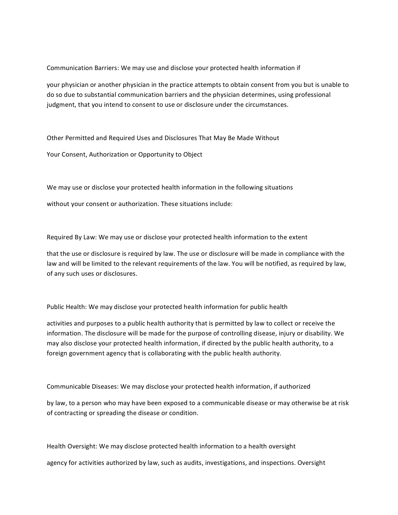Communication Barriers: We may use and disclose your protected health information if

your physician or another physician in the practice attempts to obtain consent from you but is unable to do so due to substantial communication barriers and the physician determines, using professional judgment, that you intend to consent to use or disclosure under the circumstances.

Other Permitted and Required Uses and Disclosures That May Be Made Without

Your Consent, Authorization or Opportunity to Object

We may use or disclose your protected health information in the following situations

without your consent or authorization. These situations include:

Required By Law: We may use or disclose your protected health information to the extent

that the use or disclosure is required by law. The use or disclosure will be made in compliance with the law and will be limited to the relevant requirements of the law. You will be notified, as required by law, of any such uses or disclosures.

Public Health: We may disclose your protected health information for public health

activities and purposes to a public health authority that is permitted by law to collect or receive the information. The disclosure will be made for the purpose of controlling disease, injury or disability. We may also disclose your protected health information, if directed by the public health authority, to a foreign government agency that is collaborating with the public health authority.

Communicable Diseases: We may disclose your protected health information, if authorized

by law, to a person who may have been exposed to a communicable disease or may otherwise be at risk of contracting or spreading the disease or condition.

Health Oversight: We may disclose protected health information to a health oversight

agency for activities authorized by law, such as audits, investigations, and inspections. Oversight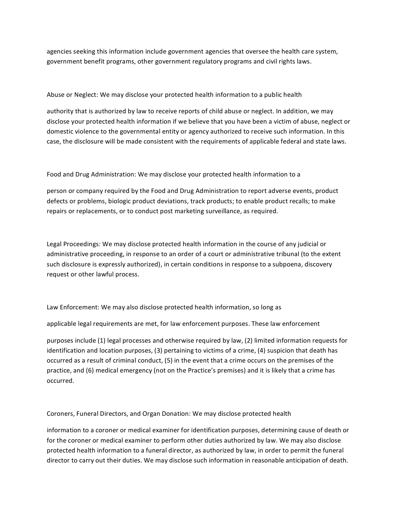agencies seeking this information include government agencies that oversee the health care system, government benefit programs, other government regulatory programs and civil rights laws.

Abuse or Neglect: We may disclose your protected health information to a public health

authority that is authorized by law to receive reports of child abuse or neglect. In addition, we may disclose your protected health information if we believe that you have been a victim of abuse, neglect or domestic violence to the governmental entity or agency authorized to receive such information. In this case, the disclosure will be made consistent with the requirements of applicable federal and state laws.

Food and Drug Administration: We may disclose your protected health information to a

person or company required by the Food and Drug Administration to report adverse events, product defects or problems, biologic product deviations, track products; to enable product recalls; to make repairs or replacements, or to conduct post marketing surveillance, as required.

Legal Proceedings: We may disclose protected health information in the course of any judicial or administrative proceeding, in response to an order of a court or administrative tribunal (to the extent such disclosure is expressly authorized), in certain conditions in response to a subpoena, discovery request or other lawful process.

Law Enforcement: We may also disclose protected health information, so long as

applicable legal requirements are met, for law enforcement purposes. These law enforcement

purposes include (1) legal processes and otherwise required by law, (2) limited information requests for identification and location purposes, (3) pertaining to victims of a crime, (4) suspicion that death has occurred as a result of criminal conduct, (5) in the event that a crime occurs on the premises of the practice, and (6) medical emergency (not on the Practice's premises) and it is likely that a crime has occurred.

Coroners, Funeral Directors, and Organ Donation: We may disclose protected health

information to a coroner or medical examiner for identification purposes, determining cause of death or for the coroner or medical examiner to perform other duties authorized by law. We may also disclose protected health information to a funeral director, as authorized by law, in order to permit the funeral director to carry out their duties. We may disclose such information in reasonable anticipation of death.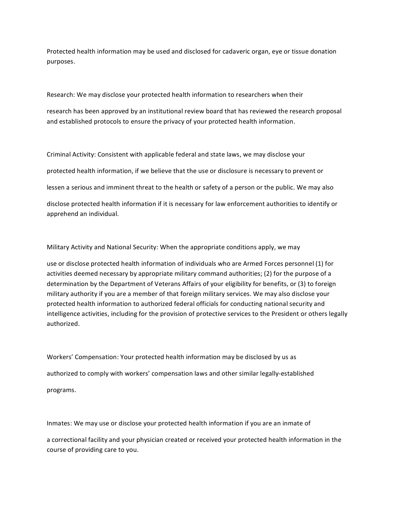Protected health information may be used and disclosed for cadaveric organ, eye or tissue donation purposes.

Research: We may disclose your protected health information to researchers when their

research has been approved by an institutional review board that has reviewed the research proposal and established protocols to ensure the privacy of your protected health information.

Criminal Activity: Consistent with applicable federal and state laws, we may disclose your protected health information, if we believe that the use or disclosure is necessary to prevent or lessen a serious and imminent threat to the health or safety of a person or the public. We may also disclose protected health information if it is necessary for law enforcement authorities to identify or apprehend an individual.

Military Activity and National Security: When the appropriate conditions apply, we may

use or disclose protected health information of individuals who are Armed Forces personnel (1) for activities deemed necessary by appropriate military command authorities; (2) for the purpose of a determination by the Department of Veterans Affairs of your eligibility for benefits, or (3) to foreign military authority if you are a member of that foreign military services. We may also disclose your protected health information to authorized federal officials for conducting national security and intelligence activities, including for the provision of protective services to the President or others legally authorized.

Workers' Compensation: Your protected health information may be disclosed by us as authorized to comply with workers' compensation laws and other similar legally-established programs.

Inmates: We may use or disclose your protected health information if you are an inmate of

a correctional facility and your physician created or received your protected health information in the course of providing care to you.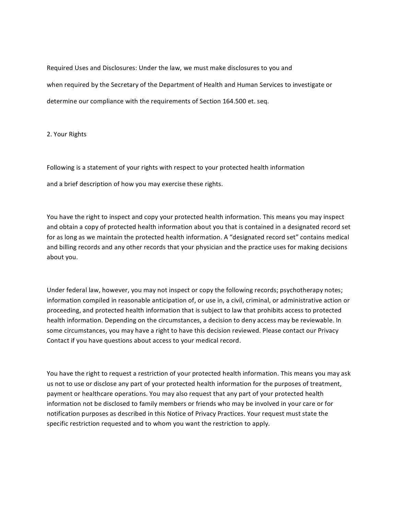Required Uses and Disclosures: Under the law, we must make disclosures to you and when required by the Secretary of the Department of Health and Human Services to investigate or determine our compliance with the requirements of Section 164.500 et. seq.

2. Your Rights

Following is a statement of your rights with respect to your protected health information

and a brief description of how you may exercise these rights.

You have the right to inspect and copy your protected health information. This means you may inspect and obtain a copy of protected health information about you that is contained in a designated record set for as long as we maintain the protected health information. A "designated record set" contains medical and billing records and any other records that your physician and the practice uses for making decisions about you.

Under federal law, however, you may not inspect or copy the following records; psychotherapy notes; information compiled in reasonable anticipation of, or use in, a civil, criminal, or administrative action or proceeding, and protected health information that is subject to law that prohibits access to protected health information. Depending on the circumstances, a decision to deny access may be reviewable. In some circumstances, you may have a right to have this decision reviewed. Please contact our Privacy Contact if you have questions about access to your medical record.

You have the right to request a restriction of your protected health information. This means you may ask us not to use or disclose any part of your protected health information for the purposes of treatment, payment or healthcare operations. You may also request that any part of your protected health information not be disclosed to family members or friends who may be involved in your care or for notification purposes as described in this Notice of Privacy Practices. Your request must state the specific restriction requested and to whom you want the restriction to apply.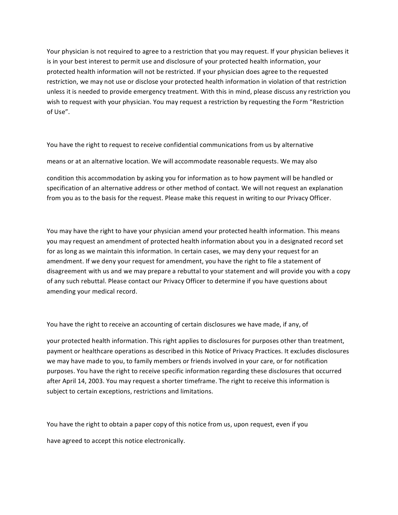Your physician is not required to agree to a restriction that you may request. If your physician believes it is in your best interest to permit use and disclosure of your protected health information, your protected health information will not be restricted. If your physician does agree to the requested restriction, we may not use or disclose your protected health information in violation of that restriction unless it is needed to provide emergency treatment. With this in mind, please discuss any restriction you wish to request with your physician. You may request a restriction by requesting the Form "Restriction" of Use".

You have the right to request to receive confidential communications from us by alternative

means or at an alternative location. We will accommodate reasonable requests. We may also

condition this accommodation by asking you for information as to how payment will be handled or specification of an alternative address or other method of contact. We will not request an explanation from you as to the basis for the request. Please make this request in writing to our Privacy Officer.

You may have the right to have your physician amend your protected health information. This means you may request an amendment of protected health information about you in a designated record set for as long as we maintain this information. In certain cases, we may deny your request for an amendment. If we deny your request for amendment, you have the right to file a statement of disagreement with us and we may prepare a rebuttal to your statement and will provide you with a copy of any such rebuttal. Please contact our Privacy Officer to determine if you have questions about amending your medical record.

You have the right to receive an accounting of certain disclosures we have made, if any, of

your protected health information. This right applies to disclosures for purposes other than treatment, payment or healthcare operations as described in this Notice of Privacy Practices. It excludes disclosures we may have made to you, to family members or friends involved in your care, or for notification purposes. You have the right to receive specific information regarding these disclosures that occurred after April 14, 2003. You may request a shorter timeframe. The right to receive this information is subject to certain exceptions, restrictions and limitations.

You have the right to obtain a paper copy of this notice from us, upon request, even if you

have agreed to accept this notice electronically.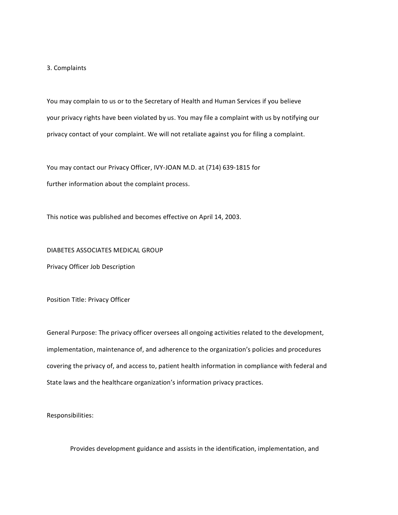3. Complaints

You may complain to us or to the Secretary of Health and Human Services if you believe your privacy rights have been violated by us. You may file a complaint with us by notifying our privacy contact of your complaint. We will not retaliate against you for filing a complaint.

You may contact our Privacy Officer, IVY-JOAN M.D. at (714) 639-1815 for further information about the complaint process.

This notice was published and becomes effective on April 14, 2003.

DIABETES ASSOCIATES MEDICAL GROUP

Privacy Officer Job Description

Position Title: Privacy Officer

General Purpose: The privacy officer oversees all ongoing activities related to the development, implementation, maintenance of, and adherence to the organization's policies and procedures covering the privacy of, and access to, patient health information in compliance with federal and State laws and the healthcare organization's information privacy practices.

Responsibilities:

Provides development guidance and assists in the identification, implementation, and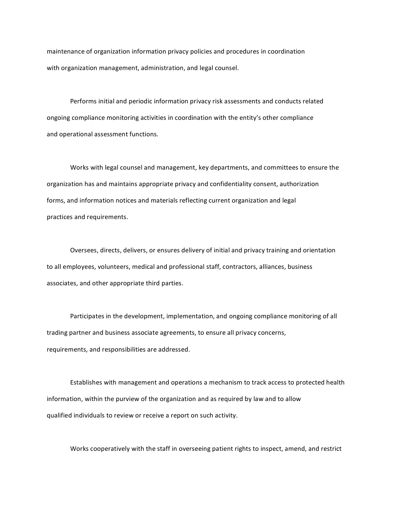maintenance of organization information privacy policies and procedures in coordination with organization management, administration, and legal counsel.

Performs initial and periodic information privacy risk assessments and conducts related ongoing compliance monitoring activities in coordination with the entity's other compliance and operational assessment functions.

Works with legal counsel and management, key departments, and committees to ensure the organization has and maintains appropriate privacy and confidentiality consent, authorization forms, and information notices and materials reflecting current organization and legal practices and requirements.

Oversees, directs, delivers, or ensures delivery of initial and privacy training and orientation to all employees, volunteers, medical and professional staff, contractors, alliances, business associates, and other appropriate third parties.

Participates in the development, implementation, and ongoing compliance monitoring of all trading partner and business associate agreements, to ensure all privacy concerns, requirements, and responsibilities are addressed.

Establishes with management and operations a mechanism to track access to protected health information, within the purview of the organization and as required by law and to allow qualified individuals to review or receive a report on such activity.

Works cooperatively with the staff in overseeing patient rights to inspect, amend, and restrict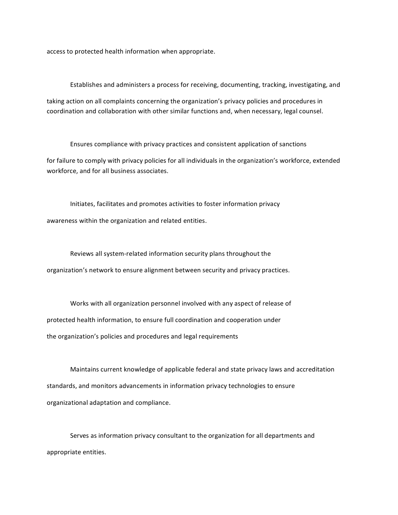access to protected health information when appropriate.

Establishes and administers a process for receiving, documenting, tracking, investigating, and taking action on all complaints concerning the organization's privacy policies and procedures in coordination and collaboration with other similar functions and, when necessary, legal counsel.

Ensures compliance with privacy practices and consistent application of sanctions for failure to comply with privacy policies for all individuals in the organization's workforce, extended workforce, and for all business associates.

Initiates, facilitates and promotes activities to foster information privacy awareness within the organization and related entities.

Reviews all system-related information security plans throughout the organization's network to ensure alignment between security and privacy practices.

Works with all organization personnel involved with any aspect of release of protected health information, to ensure full coordination and cooperation under the organization's policies and procedures and legal requirements

Maintains current knowledge of applicable federal and state privacy laws and accreditation standards, and monitors advancements in information privacy technologies to ensure organizational adaptation and compliance.

Serves as information privacy consultant to the organization for all departments and appropriate entities.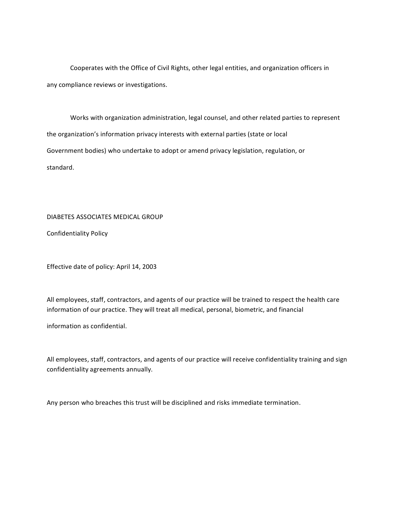Cooperates with the Office of Civil Rights, other legal entities, and organization officers in any compliance reviews or investigations.

Works with organization administration, legal counsel, and other related parties to represent the organization's information privacy interests with external parties (state or local Government bodies) who undertake to adopt or amend privacy legislation, regulation, or standard.

# DIABETES ASSOCIATES MEDICAL GROUP

Confidentiality Policy

Effective date of policy: April 14, 2003

All employees, staff, contractors, and agents of our practice will be trained to respect the health care information of our practice. They will treat all medical, personal, biometric, and financial

information as confidential.

All employees, staff, contractors, and agents of our practice will receive confidentiality training and sign confidentiality agreements annually.

Any person who breaches this trust will be disciplined and risks immediate termination.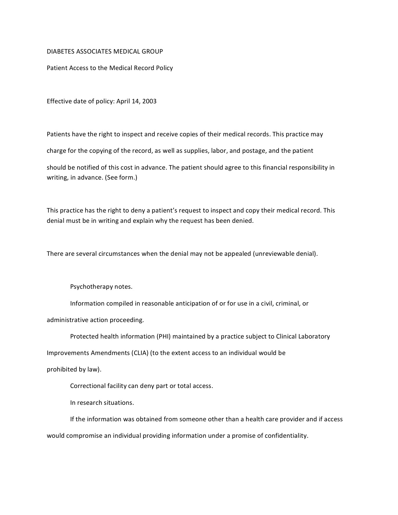## DIABETES ASSOCIATES MEDICAL GROUP

Patient Access to the Medical Record Policy

Effective date of policy: April 14, 2003

writing, in advance. (See form.)

Patients have the right to inspect and receive copies of their medical records. This practice may charge for the copying of the record, as well as supplies, labor, and postage, and the patient should be notified of this cost in advance. The patient should agree to this financial responsibility in

This practice has the right to deny a patient's request to inspect and copy their medical record. This denial must be in writing and explain why the request has been denied.

There are several circumstances when the denial may not be appealed (unreviewable denial).

Psychotherapy notes.

Information compiled in reasonable anticipation of or for use in a civil, criminal, or

administrative action proceeding.

Protected health information (PHI) maintained by a practice subject to Clinical Laboratory

Improvements Amendments (CLIA) (to the extent access to an individual would be

prohibited by law).

Correctional facility can deny part or total access.

In research situations.

If the information was obtained from someone other than a health care provider and if access would compromise an individual providing information under a promise of confidentiality.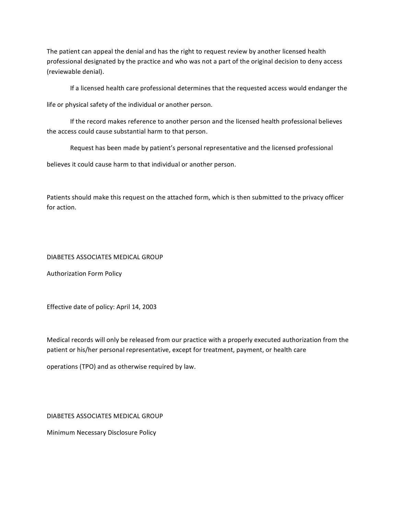The patient can appeal the denial and has the right to request review by another licensed health professional designated by the practice and who was not a part of the original decision to deny access (reviewable denial).

If a licensed health care professional determines that the requested access would endanger the

life or physical safety of the individual or another person.

If the record makes reference to another person and the licensed health professional believes the access could cause substantial harm to that person.

Request has been made by patient's personal representative and the licensed professional

believes it could cause harm to that individual or another person.

Patients should make this request on the attached form, which is then submitted to the privacy officer for action.

DIABETES ASSOCIATES MEDICAL GROUP

Authorization Form Policy

Effective date of policy: April 14, 2003

Medical records will only be released from our practice with a properly executed authorization from the patient or his/her personal representative, except for treatment, payment, or health care

operations (TPO) and as otherwise required by law.

DIABETES ASSOCIATES MEDICAL GROUP

Minimum Necessary Disclosure Policy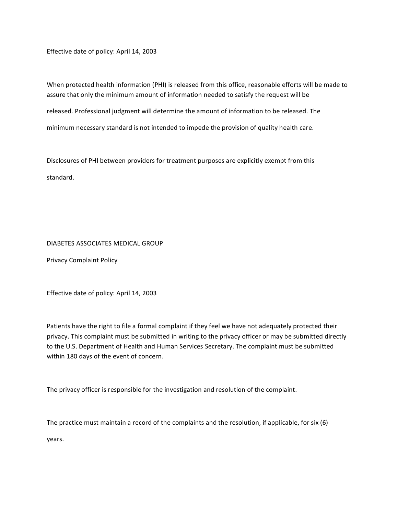Effective date of policy: April 14, 2003

When protected health information (PHI) is released from this office, reasonable efforts will be made to assure that only the minimum amount of information needed to satisfy the request will be released. Professional judgment will determine the amount of information to be released. The

minimum necessary standard is not intended to impede the provision of quality health care.

Disclosures of PHI between providers for treatment purposes are explicitly exempt from this standard.

DIABETES ASSOCIATES MEDICAL GROUP

Privacy Complaint Policy

Effective date of policy: April 14, 2003

Patients have the right to file a formal complaint if they feel we have not adequately protected their privacy. This complaint must be submitted in writing to the privacy officer or may be submitted directly to the U.S. Department of Health and Human Services Secretary. The complaint must be submitted within 180 days of the event of concern.

The privacy officer is responsible for the investigation and resolution of the complaint.

The practice must maintain a record of the complaints and the resolution, if applicable, for six  $(6)$ 

years.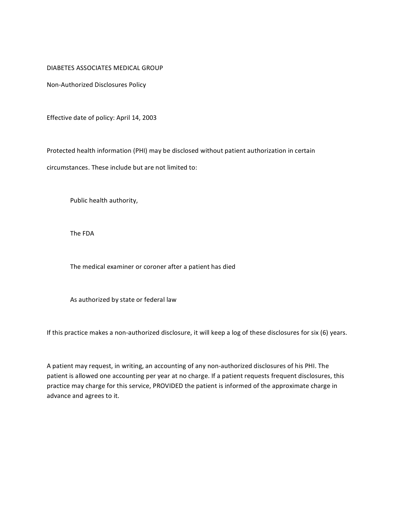## DIABETES ASSOCIATES MEDICAL GROUP

Non-Authorized Disclosures Policy

Effective date of policy: April 14, 2003

Protected health information (PHI) may be disclosed without patient authorization in certain circumstances. These include but are not limited to:

Public health authority,

The FDA

The medical examiner or coroner after a patient has died

As authorized by state or federal law

If this practice makes a non-authorized disclosure, it will keep a log of these disclosures for six (6) years.

A patient may request, in writing, an accounting of any non-authorized disclosures of his PHI. The patient is allowed one accounting per year at no charge. If a patient requests frequent disclosures, this practice may charge for this service, PROVIDED the patient is informed of the approximate charge in advance and agrees to it.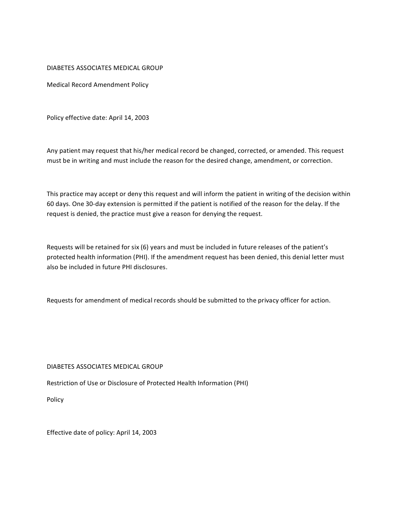# DIABETES ASSOCIATES MEDICAL GROUP

Medical Record Amendment Policy

Policy effective date: April 14, 2003

Any patient may request that his/her medical record be changed, corrected, or amended. This request must be in writing and must include the reason for the desired change, amendment, or correction.

This practice may accept or deny this request and will inform the patient in writing of the decision within 60 days. One 30-day extension is permitted if the patient is notified of the reason for the delay. If the request is denied, the practice must give a reason for denying the request.

Requests will be retained for six (6) years and must be included in future releases of the patient's protected health information (PHI). If the amendment request has been denied, this denial letter must also be included in future PHI disclosures.

Requests for amendment of medical records should be submitted to the privacy officer for action.

DIABETES ASSOCIATES MEDICAL GROUP

Restriction of Use or Disclosure of Protected Health Information (PHI)

Policy

Effective date of policy: April 14, 2003